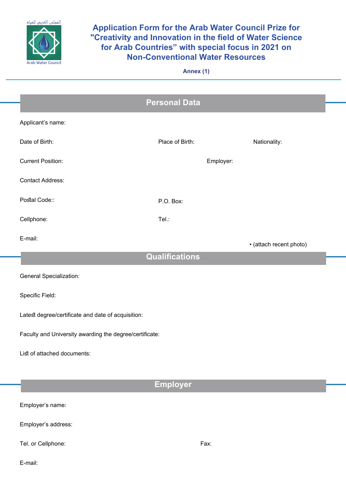

## **Application Form for the Arab Water Council Prize for** "Creativity and Innovation in the field of Water Science for Arab Countries" with special focus in 2021 on **Non-Conventional Water Resources**

**(1) Annex**

|                                                         | <b>Personal Data</b>  |                         |  |
|---------------------------------------------------------|-----------------------|-------------------------|--|
| Applicant's name:                                       |                       |                         |  |
| Date of Birth:                                          | Place of Birth:       | Nationality:            |  |
| <b>Current Position:</b>                                | Employer:             |                         |  |
| <b>Contact Address:</b>                                 |                       |                         |  |
| Postal Code::                                           | P.O. Box:             |                         |  |
| Cellphone:                                              | Tel.:                 |                         |  |
| E-mail:                                                 |                       | · (attach recent photo) |  |
|                                                         | <b>Qualifications</b> |                         |  |
| <b>General Specialization:</b>                          |                       |                         |  |
| Specific Field:                                         |                       |                         |  |
| Latest degree/certificate and date of acquisition:      |                       |                         |  |
| Faculty and University awarding the degree/certificate: |                       |                         |  |
| List of attached documents:                             |                       |                         |  |
|                                                         |                       |                         |  |
|                                                         | <b>Employer</b>       |                         |  |
| Employer's name:                                        |                       |                         |  |

Employer's address:

Tel. or Cellphone: Tel. or ... The ... Tel. or ... The ... The ... The ... The ... The ... The ... The ... The ... The ... The ... The ... The ... The ... The ... The ... The ... The ... The ... The ... The ... The ... The